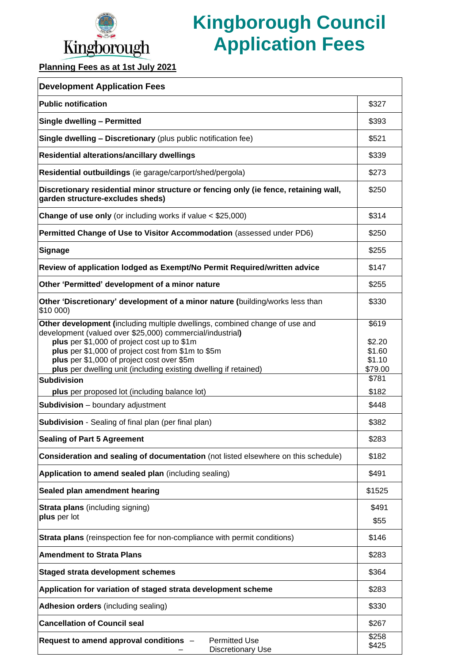

## **Kingborough Council Application Fees**

**Planning Fees as at 1st July 2021**

| <b>Development Application Fees</b>                                                                                                                                                                                                                                                                                                                             |                                                |
|-----------------------------------------------------------------------------------------------------------------------------------------------------------------------------------------------------------------------------------------------------------------------------------------------------------------------------------------------------------------|------------------------------------------------|
| <b>Public notification</b>                                                                                                                                                                                                                                                                                                                                      | \$327                                          |
| Single dwelling - Permitted                                                                                                                                                                                                                                                                                                                                     | \$393                                          |
| <b>Single dwelling - Discretionary (plus public notification fee)</b>                                                                                                                                                                                                                                                                                           | \$521                                          |
| Residential alterations/ancillary dwellings                                                                                                                                                                                                                                                                                                                     | \$339                                          |
| Residential outbuildings (ie garage/carport/shed/pergola)                                                                                                                                                                                                                                                                                                       | \$273                                          |
| Discretionary residential minor structure or fencing only (ie fence, retaining wall,<br>garden structure-excludes sheds)                                                                                                                                                                                                                                        | \$250                                          |
| <b>Change of use only</b> (or including works if value $<$ \$25,000)                                                                                                                                                                                                                                                                                            | \$314                                          |
| Permitted Change of Use to Visitor Accommodation (assessed under PD6)                                                                                                                                                                                                                                                                                           | \$250                                          |
| <b>Signage</b>                                                                                                                                                                                                                                                                                                                                                  | \$255                                          |
| Review of application lodged as Exempt/No Permit Required/written advice                                                                                                                                                                                                                                                                                        | \$147                                          |
| Other 'Permitted' development of a minor nature                                                                                                                                                                                                                                                                                                                 | \$255                                          |
| Other 'Discretionary' development of a minor nature (building/works less than<br>\$10 000)                                                                                                                                                                                                                                                                      | \$330                                          |
| Other development (including multiple dwellings, combined change of use and<br>development (valued over \$25,000) commercial/industrial)<br>plus per \$1,000 of project cost up to \$1m<br>plus per \$1,000 of project cost from \$1m to \$5m<br>plus per \$1,000 of project cost over \$5m<br>plus per dwelling unit (including existing dwelling if retained) | \$619<br>\$2.20<br>\$1.60<br>\$1.10<br>\$79.00 |
| <b>Subdivision</b>                                                                                                                                                                                                                                                                                                                                              | \$781                                          |
| plus per proposed lot (including balance lot)                                                                                                                                                                                                                                                                                                                   | \$182                                          |
| <b>Subdivision</b> - boundary adjustment                                                                                                                                                                                                                                                                                                                        | \$448                                          |
| <b>Subdivision</b> - Sealing of final plan (per final plan)                                                                                                                                                                                                                                                                                                     | \$382                                          |
| <b>Sealing of Part 5 Agreement</b>                                                                                                                                                                                                                                                                                                                              | \$283                                          |
| Consideration and sealing of documentation (not listed elsewhere on this schedule)                                                                                                                                                                                                                                                                              | \$182                                          |
| Application to amend sealed plan (including sealing)                                                                                                                                                                                                                                                                                                            | \$491                                          |
| Sealed plan amendment hearing                                                                                                                                                                                                                                                                                                                                   | \$1525                                         |
| <b>Strata plans</b> (including signing)<br>plus per lot                                                                                                                                                                                                                                                                                                         | \$491<br>\$55                                  |
| <b>Strata plans</b> (reinspection fee for non-compliance with permit conditions)                                                                                                                                                                                                                                                                                | \$146                                          |
| <b>Amendment to Strata Plans</b>                                                                                                                                                                                                                                                                                                                                | \$283                                          |
| <b>Staged strata development schemes</b>                                                                                                                                                                                                                                                                                                                        | \$364                                          |
| Application for variation of staged strata development scheme                                                                                                                                                                                                                                                                                                   | \$283                                          |
| <b>Adhesion orders (including sealing)</b>                                                                                                                                                                                                                                                                                                                      | \$330                                          |
| <b>Cancellation of Council seal</b>                                                                                                                                                                                                                                                                                                                             | \$267                                          |
| Request to amend approval conditions -<br><b>Permitted Use</b><br><b>Discretionary Use</b>                                                                                                                                                                                                                                                                      | \$258<br>\$425                                 |